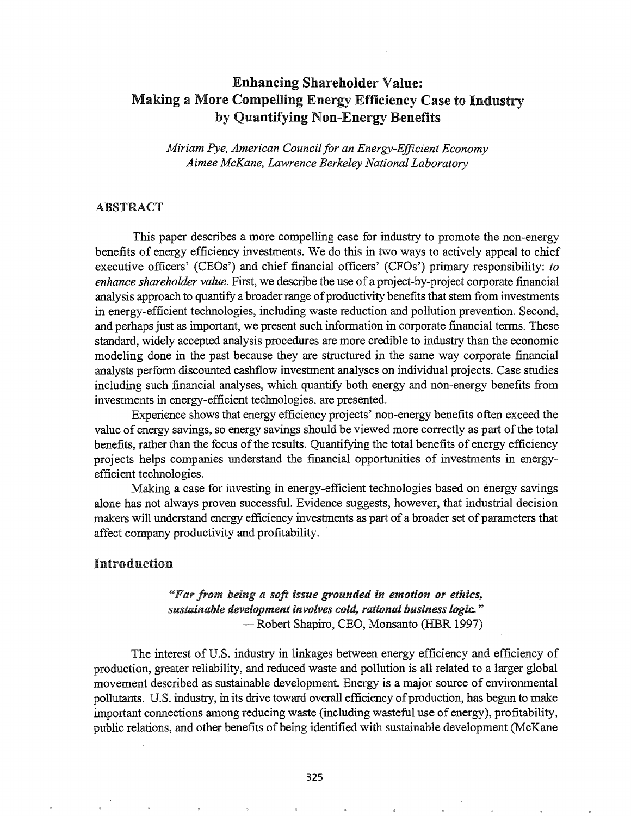# Enhancing Shareholder Value: Making a More Compelling Energy Efficiency Case to Industry by Quantifying Non-Energy Benefits

*Miriam Pye, American Councilfor an Energy-Efficient Economy Aimee McKane, Lawrence Berkeley National Laboratory*

#### ABSTRACT

This paper describes a more compelling case for industry to promote the non-energy benefits of energy efficiency investments. We do this in two ways to actively appeal to chief executive officers' (CEOs') and chief financial officers' (CFOs') primary responsibility: *to enhance shareholder value.* First, we describe the use of a project-by-project corporate financial analysis approach to quantify a broader range of productivity benefits that stem from investments in energy-efficient technologies, including waste reduction and pollution prevention. Second, and perhaps just as important, we present such information in corporate financial terms. These standard, widely accepted analysis procedures are more credible to industry than the economic modeling done in the past because they are structured in the same way corporate financial analysts perfonn discounted cashflow investment analyses on individual projects. Case studies including such financial analyses, which quantify both energy and non-energy benefits from investments in energy-efficient technologies, are presented.

Experience shows that energy efficiency projects' non-energy benefits often exceed the value of energy savings, so energy savings should be viewed more correctly as part of the total benefits, rather than the focus of the results. Quantifying the total benefits of energy efficiency projects helps companies understand the financial opportunities of investments in energyefficient technologies.

Making a case for investing in energy-efficient technologies based on energy savings alone has not always proven successful. Evidence suggests, however, that industrial decision makers will understand energy efficiency investments as part of a broader set of parameters that affect company productivity and profitability.

## Introduction

## *"Far from being a soft issue grounded in emotion or ethics, sustainable development involves cold, rational business logice "* - Robert Shapiro, CEO, Monsanto (HBR 1997)

The interest of U.S. industry in linkages between energy efficiency and efficiency of production, greater reliability, and reduced waste and pollution is all related to a larger global movement described as sustainable development. Energy is a major source of environmental pollutants. U.S. industry, in its drive toward overall efficiency of production, has begun to make important connections among reducing waste (including wasteful use of energy), profitability, public relations, and other benefits of being identified with sustainable development (McKane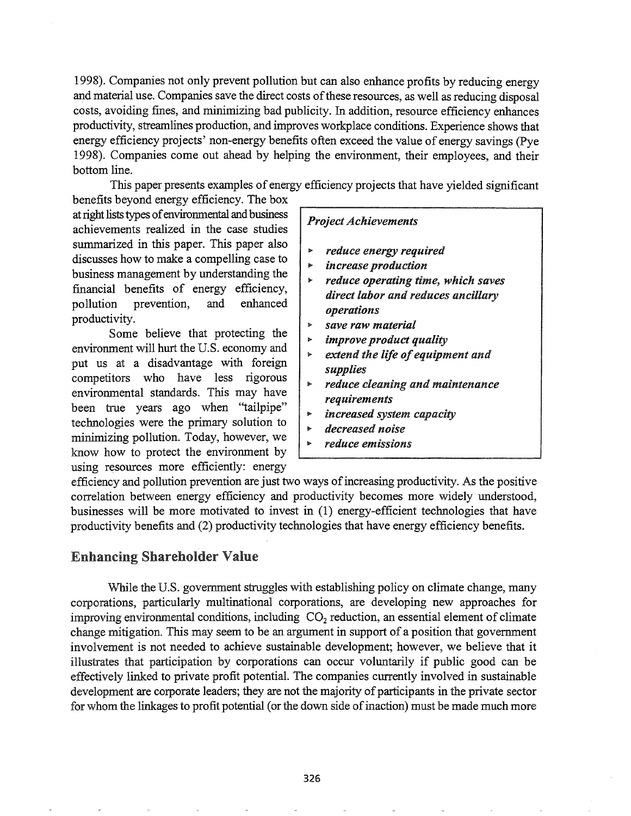1998). Companies not only prevent pollution but can also enhance profits by reducing energy and material use. Companies save the direct costs of these resources, as well as reducing disposal costs, avoiding fines, and minimizing bad publicity. In addition, resource efficiency enhances productivity, streamlines production, and improves workplace conditions. Experience shows that energy efficiency projects' non-energy benefits often exceed the value of energy savings (Pye 1998). Companies come out ahead by helping the environment, their employees, and their bottom line.

This paper presents examples of energy efficiency projects that have yielded significant

benefits beyond energy efficiency. The box at right lists types of environmental and business achievements realized in the case studies *Project Achievements* summarized in this paper. This paper also discusses how to make a compelling case to business management by understanding the financial benefits of energy efficiency, pollution prevention, and enhanced productivity.

Some believe that protecting the environment will hurt the U.S. economy and put us at a disadvantage with foreign competitors who have less rigorous environmental standards. This may have been true years ago when "tailpipe" technologies were the primary solution to minimizing pollution. Today, however, we know how to protect the environment by using resources more efficiently: energy

- *reduce energy required*
- $\blacktriangleright$ *increase production*
- *reduce operating time, which saves direct labor and reduces ancillary operations*
- $\mathbf{p}$ *save raw material*
- *improve product quality*  $\mathbf{r}$
- Þ *extend the life ofequipment and supplies*
- *reduce cleaning and maintenance requirements*
- *increased system capacity*
- *decreased noise*  $\blacktriangleright$
- *reduce emissions*  $\blacktriangleright$

efficiency and pollution prevention are just two ways of increasing productivity. As the positive correlation between energy efficiency and productivity becomes more widely understood, businesses will be more motivated to invest in (1) energy-efficient technologies that have productivity benefits and (2) productivity technologies that have energy efficiency benefits.

## Enhancing Shareholder Value

While the U.S. government struggles with establishing policy on climate change, many corporations, particularly multinational corporations, are developing new approaches for improving environmental conditions, including  $CO<sub>2</sub>$  reduction, an essential element of climate change mitigation. This may seem to be an argument in support of a position that government involvement is not needed to achieve sustainable development; however, we believe that it illustrates that participation by corporations can occur voluntarily if public good can be effectively linked to private profit potential. The companies currently involved in sustainable development are corporate leaders; they are not the majority of participants in the private sector for whom the linkages to profit potential (or the down side of inaction) must be made much more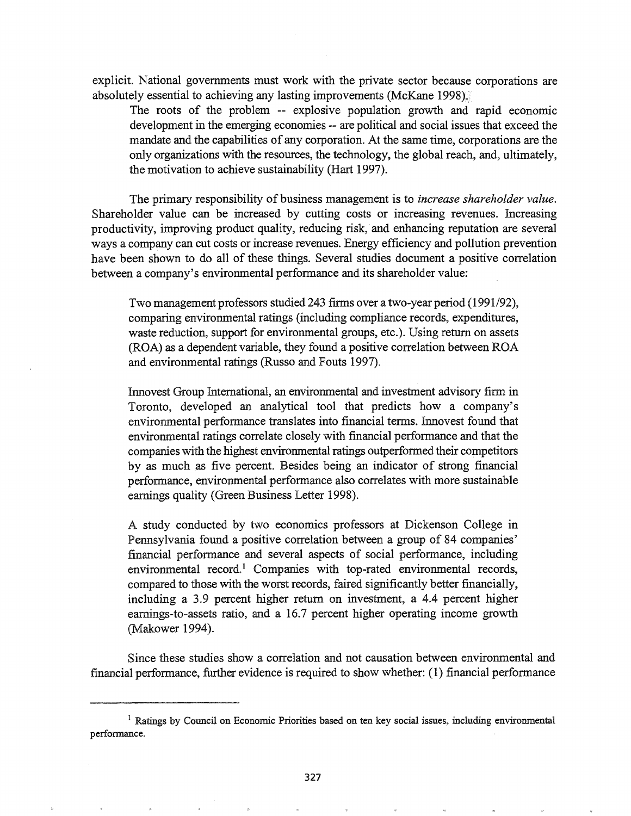explicit. National governments must work with the private sector because corporations are absolutely essential to achieving any lasting improvements (McKane 1998).

The roots of the problem -- explosive population growth and rapid economic development in the emerging economies -- are political and social issues that exceed the mandate and the capabilities of any corporation. At the same time, corporations are the only organizations with the resources, the technology, the global reach, and, ultimately, the motivation to achieve sustainability (Hart 1997).

The primary responsibility of business management is to *increase shareholder value.* Shareholder value can be increased by cutting costs or increasing revenues. Increasing productivity, improving product quality, reducing risk, and enhancing reputation are several ways a company can cut costs or increase revenues. Energy efficiency and pollution prevention have been shown to do all of these things. Several studies document a positive correlation between a company's environmental performance and its shareholder value:

Two management professors studied 243 firms over a two-year period (1991/92), comparing environmental ratings (including compliance records, expenditures, waste reduction, support for environmental groups, etc.). Using return on assets (ROA) as a dependent variable, they found a positive correlation between ROA and environmental ratings (Russo and Fouts 1997).

Innovest Group International, an environmental and investment advisory firm in Toronto, developed an analytical tool that predicts how a company's environmental performance translates into financial terms. Innovest found that environmental ratings correlate closely with financial performance and that the companies with the highest environmental ratings outperformed their competitors by as much as five percent. Besides being an indicator of strong financial performance, environmental performance also correlates with more sustainable earnings quality (Green Business Letter 1998).

A study conducted by two economics professors at Dickenson College in Pennsylvania found a positive correlation between a group of 84 companies' financial performance and several aspects of social performance, including environmental record.<sup>1</sup> Companies with top-rated environmental records, compared to those with the worst records, faired significantly better financially, including a 3.9 percent higher return on investment, a 4.4 percent higher earnings-to-assets ratio, and a 16.7 percent higher operating income growth (Makower 1994).

Since these studies show a correlation and not causation between environmental and financial performance, further evidence is required to show whether: (1) financial performance

<sup>&</sup>lt;sup>1</sup> Ratings by Council on Economic Priorities based on ten key social issues, including environmental performance.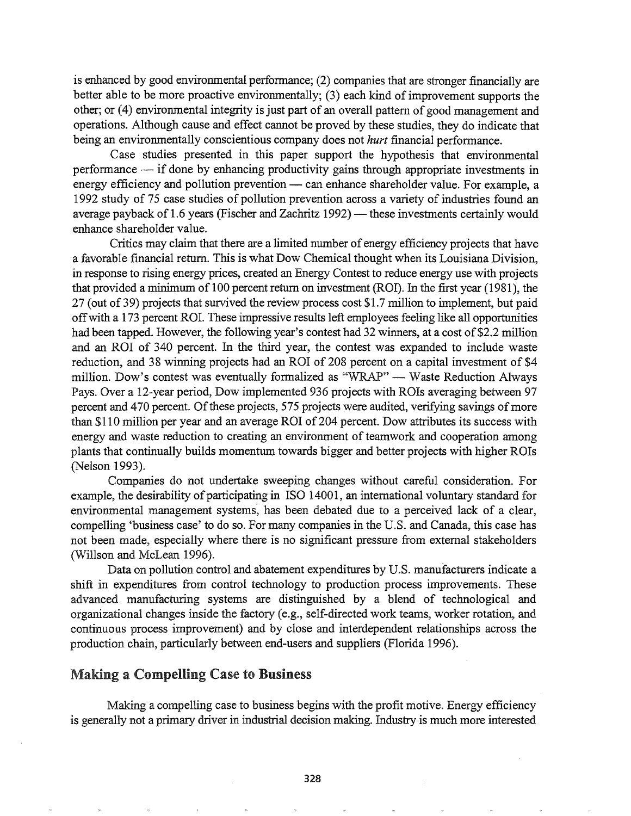is enhanced by good environmental performance; (2) companies that are stronger financially are better able to be more proactive environmentally; (3) each kind of improvement supports the other; or (4) environmental integrity is just part of an overall pattern of good management and operations. Although cause and effect cannot be proved by these studies, they do indicate that being an environmentally conscientious company does not *hurt* financial performance.

Case studies presented in this paper support the hypothesis that environmental performance - if done by enhancing productivity gains through appropriate investments in energy efficiency and pollution prevention - can enhance shareholder value. For example, a 1992 study of 75 case studies of pollution prevention across a variety of industries found an average payback of 1.6 years (Fischer and Zachritz 1992) — these investments certainly would enhance shareholder value.

Critics may claim that there are a limited number of energy efficiency projects that have a favorable financial return. This is what Dow Chemical thought when its Louisiana Division, in response to rising energy prices, created an Energy Contest to reduce energy use with projects that provided a minimum of 100 percent return on investment (ROI). In the first year (1981), the 27 (out of39) projects that survived the review process cost \$1.7 million to implement, but paid offwith a 173 percent ROI. These impressive results left employees feeling like all opportunities had been tapped. However, the following year's contest had 32 winners, at a cost of \$2.2 million and an ROI of 340 percent. In the third year, the contest was expanded to include waste reduction, and 38 winning projects had an ROI of 208 percent on a capital investment of \$4 million. Dow's contest was eventually formalized as "WRAP" — Waste Reduction Always Pays. Over a 12-year period, Dow implemented 936 projects with ROIs averaging between 97 percent and 470 percent. Of these projects, 575 projects were audited, verifying savings of more than \$110 million per year and an average ROI of 204 percent. Dow attributes its success with energy and waste reduction to creating an environment of teamwork and cooperation among plants that continually builds momentum towards bigger and better projects with higher ROls (Nelson 1993).

Companies do not undertake sweeping changes without careful consideration. For example, the desirability of participating in ISO 14001, an international voluntary standard for environmental management systems, has been debated due to a perceived lack of a clear, compelling 'business case' to do so. For many companies in the U.S. and Canada, this case has not been made, especially where there is no significant pressure from external stakeholders (Willson and McLean 1996).

Data on pollution control and abatement expenditures by U.S. manufacturers indicate a shift in expenditures from control technology to production process improvements. These advanced manufacturing systems are distinguished by a blend of technological and organizational changes inside the factory (e.g., self-directed work teams, worker rotation, and continuous process improvement) and by close and interdependent relationships across the production chain, particularly between end-users and suppliers (Florida 1996).

## Making a Compelling Case to Business

Making a compelling case to business begins with the profit motive. Energy efficiency is generally not a primary driver in industrial decision making. Industry is much more interested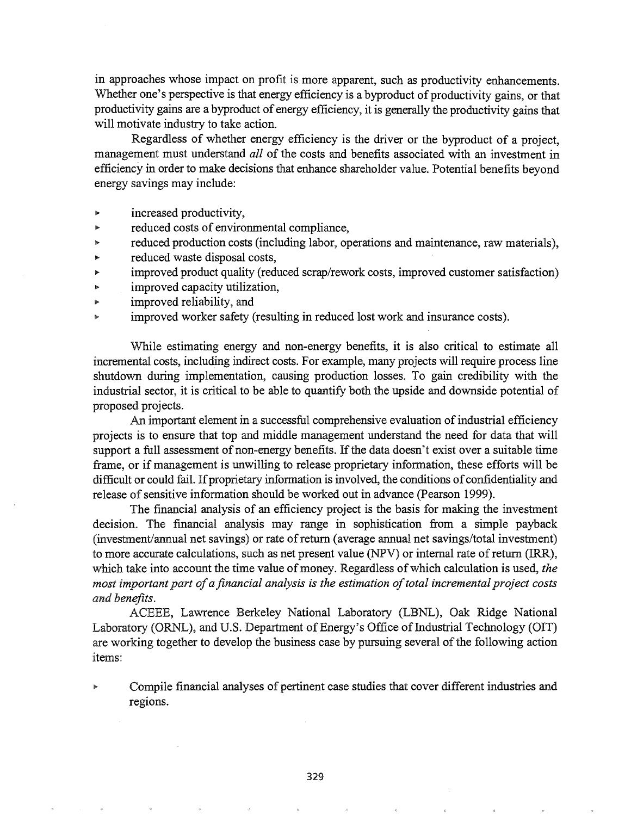in approaches whose impact on profit is more apparent, such as productivity enhancements. Whether one's perspective is that energy efficiency is a byproduct of productivity gains, or that productivity gains are a byproduct of energy efficiency, it is generally the productivity gains that will motivate industry to take action.

Regardless of whether energy efficiency is the driver or the byproduct of a project, management must understand *all* of the costs and benefits associated with an investment in efficiency in order to make decisions that enhance shareholder value. Potential benefits beyond energy savings may include:

- $\blacktriangleright$ increased productivity,
- reduced costs of environmental compliance, b.
- reduced production costs (including labor, operations and maintenance, raw materials),  $\bullet$
- reduced waste disposal costs,  $\triangleright$
- improved product quality (reduced scrap/rework costs, improved customer satisfaction)
- improved capacity utilization,  $\mathbf{b}$
- improved reliability, and ь
- improved worker safety (resulting in reduced lost work and insurance costs).

While estimating energy and non-energy benefits, it is also critical to estimate all incremental costs, includjng indirect costs. For example, many projects will require process line shutdown during implementation, causing production losses. To gain credibility with the industrial sector, it is critical to be able to quantify both the upside and downside potential of proposed projects.

An important element in a successful comprehensive evaluation of industrial efficiency projects is to ensure that top and middle management understand the need for data that will support a full assessment of non-energy benefits. If the data doesn't exist over a suitable time frame, or if management is unwilling to release proprietary information, these efforts will be difficult or could fail. If proprietary information is involved, the conditions of confidentiality and release of sensitive information should be worked out in advance (Pearson 1999).

The financial analysis of an efficiency project is the basis for making the investment decision. The financial analysis may range in sophistication from a simple payback (investment/annual net savings) or rate ofreturn (average annual net savings/total investment) to more accurate calculations, such as net present value (NPV) or internal rate of return (IRR), which take into account the time value of money. Regardless of which calculation is used, the *most important part ofa finanCial analysis is the estimation oftotal incremental project costs and benefits.*

ACEEE, Lawrence Berkeley National Laboratory (LBNL), Oak Ridge National Laboratory (ORNL), and U.S. Department of Energy's Office of Industrial Technology (OIT) are working together to develop the business case by pursuing several of the following action items:

Compile financial analyses of pertinent case studies that cover different industries and Þ regions.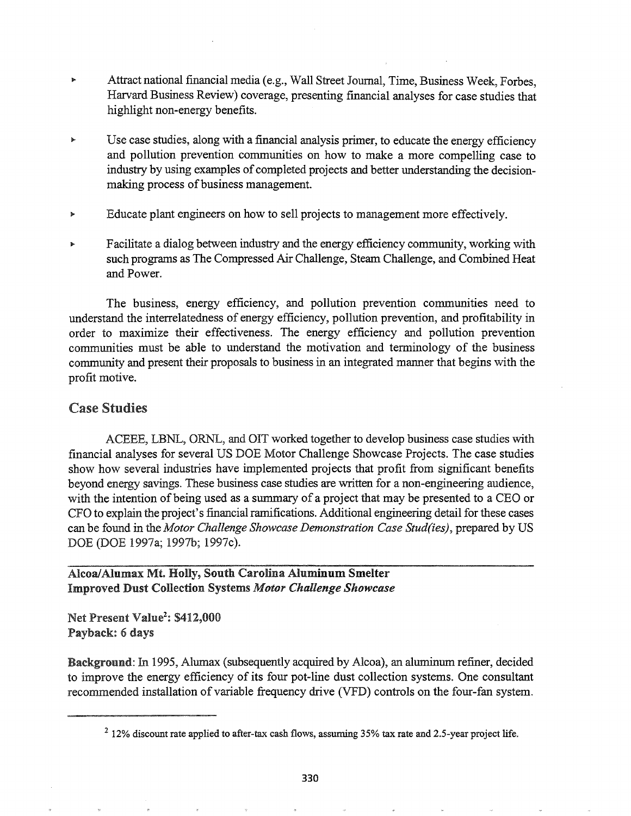- $\triangleright$ Attract national financial media (e.g., Wall Street Joumal, Time, Business Week, Forbes, Harvard Business Review) coverage, presenting financial analyses for case studies that highlight non-energy benefits.
- Use case studies, along with a financial analysis primer, to educate the energy efficiency  $\triangleright$ and pollution prevention communities on how to make a more compelling case to industry by using examples of completed projects and better understanding the decisionmaking process of business management.
- Educate plant engineers on how to sell projects to management more effectively.  $\blacktriangleright$
- Facilitate a dialog between industry and the energy efficiency community, working with  $\mathbf{r}$ such programs as The Compressed Air Challenge, Steam Challenge, and Combined Heat and Power.

The business, energy efficiency, and pollution prevention communities need to understand the interrelatedness of energy efficiency, pollution prevention, and profitability in order to maximize their effectiveness. The energy efficiency and pollution prevention communities must be able to understand the motivation and terminology of the business community and present their proposals to business in an integrated manner that begins with the profit motive.

## Case Studies

ACEEE, LBNL, ORNL, and OIT worked together to develop business case studies with financial analyses for several US DOE Motor Challenge Showcase Projects. The case studies show how several industries have implemented projects that profit from significant benefits beyond energy savings. These business case studies are written for a non-engineering audience, with the intention of being used as a summary of a project that may be presented to a CEO or CFO to explain the project's financial ramifications. Additional engineering detail for these cases can be found in the *Motor Challenge Showcase Demonstration Case Stud(ies),* prepared by US DOE (DOE 1997a; 1997b; 1997c).

Alcoa/Alumax Mt. Holly, South Carolina Aluminum Smelter Improved Dust Collection Systems *Motor Challenge Showcase*

Net Present Value<sup>2</sup>: \$412,000 Payback: 6 days

Background: In 1995, Alumax (subsequently acquired by Alcoa), an aluminum refiner, decided to improve the energy efficiency of its four pot-line dust collection systems. One consultant recommended installation of variable frequency drive (VFD) controls on the four-fan system.

 $2\,12\%$  discount rate applied to after-tax cash flows, assuming 35% tax rate and 2.5-year project life.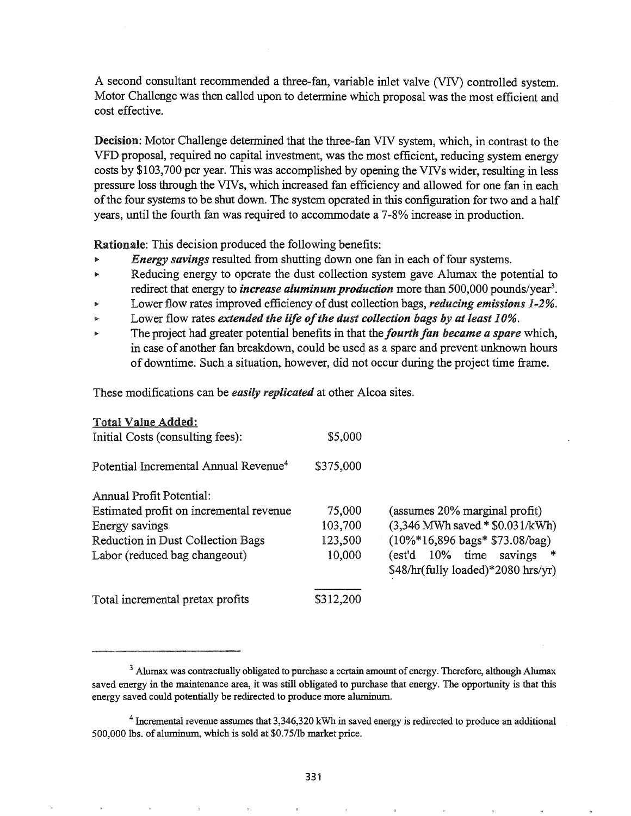A second consultant recommended a three-fan, variable inlet valve (VIV) controlled system. Motor Challenge was then called upon to determine which proposal was the most efficient and cost effective.

Decision: Motor Challenge determined that the three-fan VIV system, which, in contrast to the VFD proposal, required no capital investment, was the most efficient, reducing system energy costs by \$103,700 per year. This was accomplished by opening the VIVs wider, resulting in less pressure loss through the VIVs, which increased fan efficiency and allowed for one fan in each ofthe four systems to be shut down. The system operated in this configuration for two and a half years, until the fourth fan was required to accommodate a 7-8% increase in production.

Rationale: This decision produced the following benefits:

- *Energy savings* resulted from shutting down one fan in each of four systems.  $\ddot{a}$
- Reducing energy to operate the dust collection system gave Alumax the potential to  $\mathbf{a}$ redirect that energy to *increase aluminum production* more than 500,000 pounds/year<sup>3</sup>.
- Lower flow rates improved efficiency of dust collection bags, *reducing emissions* 1-2%.
- Lower flow rates *extended the life of the dust collection bags by at least 10%.*
- .. The project had greater potential benefits in that the *fourth fan became a spare* which, in case of another fan breakdown, could be used as a spare and prevent unknown hours of downtime. Such a situation, however, did not occur during the project time frame.

These modifications can be *easily replicated* at other Alcoa sites.

| <b>Total Value Added:</b>                         |           |                                                    |
|---------------------------------------------------|-----------|----------------------------------------------------|
| Initial Costs (consulting fees):                  | \$5,000   |                                                    |
| Potential Incremental Annual Revenue <sup>4</sup> | \$375,000 |                                                    |
| Annual Profit Potential:                          |           |                                                    |
| Estimated profit on incremental revenue           | 75,000    | (assumes 20% marginal profit)                      |
| Energy savings                                    | 103,700   | $(3,346$ MWh saved * \$0.031/kWh)                  |
| Reduction in Dust Collection Bags                 | 123,500   | $(10\% * 16,896 \text{ bags} * $73.08/\text{bag})$ |
| Labor (reduced bag changeout)                     | 10,000    | (est'd 10% time savings                            |
|                                                   |           | $$48/hr (fully loaded)*2080 hrs/yr)$               |
| Total incremental pretax profits                  | \$312,200 |                                                    |

<sup>3</sup> Alumax was contractually obligated to purchase a certain amount of energy. Therefore, although Alumax saved energy in the maintenance area, it was still obligated to purchase that energy. The opportunity is that this energy saved could potentially be redirected to produce more aluminum.

<sup>&</sup>lt;sup>4</sup> Incremental revenue assumes that 3,346,320 kWh in saved energy is redirected to produce an additional 500,000 lbs. of aluminum, which is sold at \$0.75I1b market price.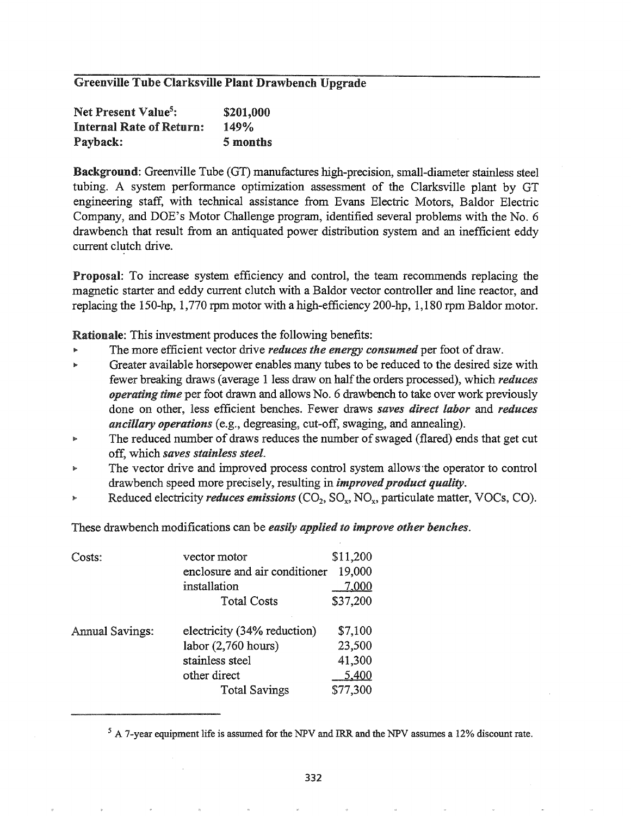## Greenville Tube Clarksville Plant Drawbench Upgrade

| Net Present Value <sup>5</sup> : | \$201,000        |
|----------------------------------|------------------|
| <b>Internal Rate of Return:</b>  | 149 <sub>%</sub> |
| Payback:                         | 5 months         |

Background: Greenville Tube (GT) manufactures high-precision, small-diameter stainless steel tubing. A system performance optimization assessment of the Clarksville plant by GT engineering staff, with technical assistance from Evans Electric Motors, Baldor Electric Company, and DOE's Motor Challenge program, identified several problems with the No.6 drawbench that result from an antiquated power distribution system and an inefficient eddy current clutch drive.

Proposal: To increase system efficiency and control, the team recommends replacing the magnetic starter and eddy current clutch with a Baldor vector controller and line reactor, and replacing the 150-hp,  $1,770$  rpm motor with a high-efficiency 200-hp,  $1,180$  rpm Baldor motor.

**Rationale:** This investment produces the following benefits:

- The more efficient vector drive *reduces the energy consumed* per foot of draw.
- Greater available horsepower enables many tubes to be reduced to the desired size with fewer breaking draws (average 1 less draw on half the orders processed), which *reduces operating time* per foot drawn and allows No.6 drawbench to take over work previously done on other, less efficient benches. Fewer draws *saves direct labor* and *reduces ancillary operations* (e.g., degreasing, cut-off, swaging, and annealing).
- The reduced number of draws reduces the number of swaged (flared) ends that get cut Þ off, which *saves stainless steel.*
- The vector drive and improved process control system allows'the operator to control drawbench speed more precisely, resulting in *improved product quality*.
- Reduced electricity *reduces emissions* (CO<sub>2</sub>, SO<sub>x</sub>, NO<sub>x</sub>, particulate matter, VOCs, CO).

These drawbench modifications can be *easily applied to improve other benches.*

| Costs:                 | vector motor                  | \$11,200 |
|------------------------|-------------------------------|----------|
|                        | enclosure and air conditioner | 19,000   |
|                        | installation                  | 7,000    |
|                        | <b>Total Costs</b>            | \$37,200 |
| <b>Annual Savings:</b> | electricity (34% reduction)   | \$7,100  |
|                        | labor $(2,760$ hours)         | 23,500   |
|                        | stainless steel               | 41,300   |
|                        | other direct                  | 5,400    |
|                        | <b>Total Savings</b>          | \$77,300 |

 $5$  A 7-year equipment life is assumed for the NPV and IRR and the NPV assumes a 12% discount rate.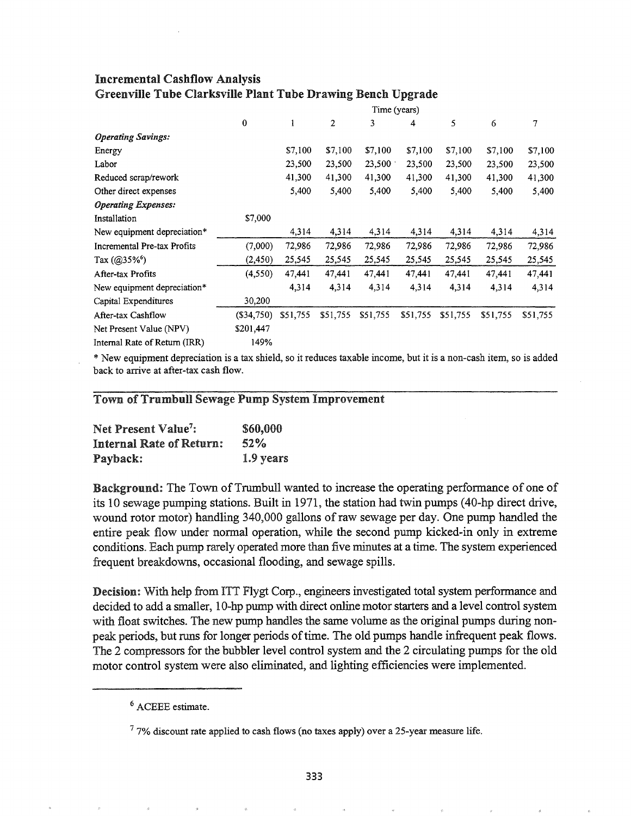## Incremental Cashflow Analysis Greenville Tube Clarksville Plant Tube Drawing Bench Upgrade

|                               | Time (years) |          |                  |          |          |          |          |          |
|-------------------------------|--------------|----------|------------------|----------|----------|----------|----------|----------|
|                               | $\bf{0}$     | 1        | $\boldsymbol{2}$ | 3        | 4        | 5        | 6        | 7        |
| <b>Operating Savings:</b>     |              |          |                  |          |          |          |          |          |
| Energy                        |              | \$7,100  | \$7,100          | \$7,100  | \$7,100  | \$7,100  | \$7,100  | \$7,100  |
| Labor                         |              | 23,500   | 23,500           | 23,500   | 23,500   | 23,500   | 23,500   | 23,500   |
| Reduced scrap/rework          |              | 41,300   | 41,300           | 41,300   | 41,300   | 41,300   | 41,300   | 41,300   |
| Other direct expenses         |              | 5,400    | 5,400            | 5,400    | 5,400    | 5,400    | 5,400    | 5,400    |
| <b>Operating Expenses:</b>    |              |          |                  |          |          |          |          |          |
| Installation                  | \$7,000      |          |                  |          |          |          |          |          |
| New equipment depreciation*   |              | 4,314    | 4,314            | 4,314    | 4,314    | 4,314    | 4,314    | 4,314    |
| Incremental Pre-tax Profits   | (7,000)      | 72,986   | 72,986           | 72,986   | 72,986   | 72,986   | 72,986   | 72,986   |
| Tax $(@35\%6)$                | (2,450)      | 25,545   | 25,545           | 25,545   | 25,545   | 25,545   | 25,545   | 25,545   |
| After-tax Profits             | (4, 550)     | 47,441   | 47,441           | 47,441   | 47,441   | 47,441   | 47,441   | 47,441   |
| New equipment depreciation*   |              | 4,314    | 4,314            | 4,314    | 4,314    | 4,314    | 4,314    | 4,314    |
| Capital Expenditures          | 30,200       |          |                  |          |          |          |          |          |
| After-tax Cashflow            | (\$34,750)   | \$51,755 | \$51,755         | \$51,755 | \$51,755 | \$51,755 | \$51,755 | \$51,755 |
| Net Present Value (NPV)       | \$201,447    |          |                  |          |          |          |          |          |
| Internal Rate of Return (IRR) | 149%         |          |                  |          |          |          |          |          |

\* New equipment depreciation is a tax shield, so it reduces taxable income, but it is a non-cash item, so is added back to arrive at after-tax cash flow.

### Town of Trumbull Sewage Pump System Improvement

| Net Present Value <sup>7</sup> : | \$60,000  |
|----------------------------------|-----------|
| <b>Internal Rate of Return:</b>  | $52\%$    |
| Payback:                         | 1.9 years |

Background: The Town of Trumbull wanted to increase the operating performance of one of its 10 sewage pumping stations. Built in 1971, the station had twin pumps (40-hp direct drive, wound rotor motor) handling 340,000 gallons of raw sewage per day. One pump handled the entire peak flow under normal operation, while the second pump kicked-in only in extreme conditions. Each pump rarely operated more than five minutes at a time. The system experienced frequent breakdowns, occasional flooding, and sewage spills.

Decision: With help from ITT Flygt Corp., engineers investigated total system performance and decided to add a smaller, 10-hp pump with direct online motor starters and a level control system with float switches. The new pump handles the same volume as the original pumps during nonpeak periods, but runs for longer periods of time. The old pumps handle infrequent peak flows. The 2 compressors for the bubbler level control system and the 2 circulating pumps for the old motor control system were also eliminated, and lighting efficiencies were implemented.

<sup>6</sup> ACEEE estimate.

 $77\%$  discount rate applied to cash flows (no taxes apply) over a 25-year measure life.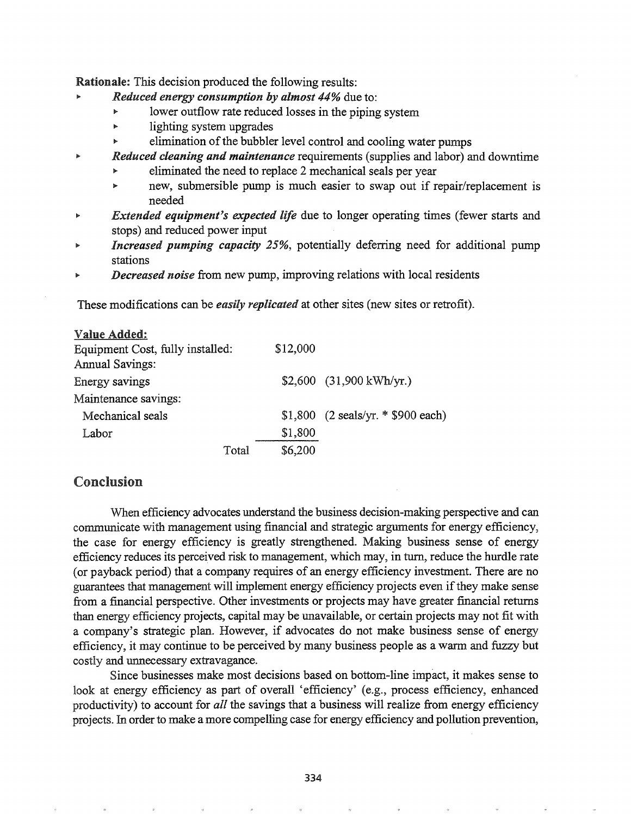Rationale: This decision produced the following results:

- *Reduced energy consumption* by *almost* 44% due to:
	- lower outflow rate reduced losses in the piping system ь
	- $\rightarrow$  lighting system upgrades
	- elimination of the bubbler level control and cooling water pumps
- *Reduced cleaning and maintenance* requirements (supplies and labor) and downtime
	- eliminated the need to replace 2 mechanical seals per year  $\blacktriangleright$
	- new, submersible pump is much easier to swap out if repair/replacement is  $\blacktriangleright$ needed
- *Extended equipment's expected life* due to longer operating times (fewer starts and  $\blacktriangleright$ stops) and reduced power input
- *Increased pumping capacity* 25%, potentially deferring need for additional pump stations
- *Decreased noise* from new pump, improving relations with local residents

These modifications can be *easily replicated* at other sites (new sites or retrofit).

| Value Added:                     |          |                                                     |
|----------------------------------|----------|-----------------------------------------------------|
| Equipment Cost, fully installed: | \$12,000 |                                                     |
| Annual Savings:                  |          |                                                     |
| Energy savings                   |          | $$2,600$ $(31,900 \text{ kWh/yr.})$                 |
| Maintenance savings:             |          |                                                     |
| Mechanical seals                 |          | \$1,800 $(2 \text{ scals/yr.} * $900 \text{ each})$ |
| Labor                            | \$1,800  |                                                     |
| Total                            | \$6,200  |                                                     |

## Conclusion

When efficiency advocates understand the business decision-making perspective and can communicate with management using financial and strategic arguments for energy efficiency, the case for energy efficiency is greatly strengthened. Making business sense of energy efficiency reduces its perceived risk to management, which may, in turn, reduce the hurdle rate (or payback period) that a company requires of an energy efficiency investment. There are no guarantees that management will implement energy efficiency projects even if they make sense from a financial perspective. Other investments or projects may have greater financial returns than energy efficiency projects, capital may be unavailable, or certain projects may not fit with a company's strategic plan. However, if advocates do not make business sense of energy efficiency, it may continue to be perceived by many business people as a warm and fuzzy but costly and unnecessary extravagance.

Since businesses make most decisions based on bottom-line impact, it makes sense to look at energy efficiency as part of overall 'efficiency' (e.g., process efficiency, enhanced productivity) to account for *all* the savings that a business will realize from energy efficiency projects. In order to make a more compelling case for energy efficiency and pollution prevention,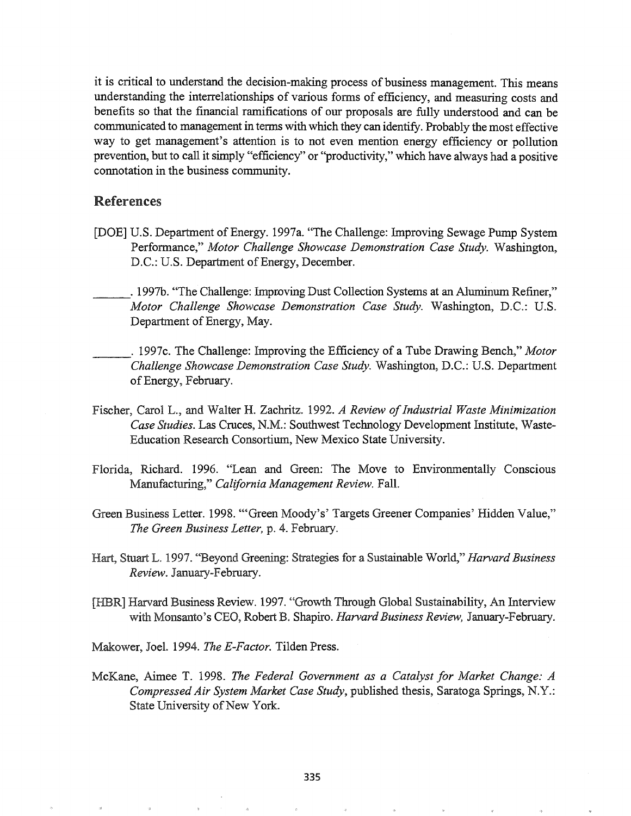it is critical to understand the decision-making process of business management. This means understanding the interrelationships of various forms of efficiency, and measuring costs and benefits so that the financial ramifications of our proposals are fully understood and can be communicated to management in terms with which they can identify. Probably the most effective way to get management's attention is to not even mention energy efficiency or pollution prevention, but to call it simply "efficiency" or "productivity," which have always had a positive connotation in the business community.

## References

- [DOE] U.S. Department of Energy. 1997a. "The Challenge: Improving Sewage Pump System Perfonnance," *Motor Challenge Showcase Demonstration Case Study.* Washington, D.C.: U.S. Department of Energy, December.
- \_\_\_. 1997b. "The Challenge: Improving Dust Collection Systems at an Aluminum Refiner," *Motor Challenge Showcase Demonstration Case Study.* Washington, D.C.: U.S. Department of Energy, May.
- \_\_\_" 1997c. The Challenge: Improving the Efficiency of <sup>a</sup> Tube Drawing Bench," *Motor Challenge Showcase Demonstration Case Study"* Washington, D.C.: U.S. Department ofEnergy, February.
- Fischer, Carol L., and Walter H. Zachritz. 1992. *A Review ofIndustrial Waste Minimization Case Studies.* Las Cruces, N.M.: Southwest Technology Development Institute, Waste-Education Research Consortium, New Mexico State University.
- Florida, Richard. 1996. "Lean and Green: The Move to Environmentally Conscious Manufacturing," *California Management Review.* FalL
- Green Business Letter. 1998. "'Green Moody's' Targets Greener Companies' Hidden Value," *The Green Business Letter,* p. 4. February.
- Stuart 1997. "Beyond Greening: Strategies for a Sustainable World," *Harvard Business Review.* January-February.
- [HBR] Harvard Business Review. 1997. "Growth Through Global Sustainability, An Interview with Monsanto's CEO, Robert B~ Shapiro. *Harvard Business Review,* January-February.

Makower, JoeL 1994. *The E-Factor.* Tilden Press.

McKane, Aimee T. 1998. *The Federal Government as a Catalyst for Market Change: A Compressed Air System Market Case Study,* published thesis, Saratoga Springs, N.Y.: State University of New York.